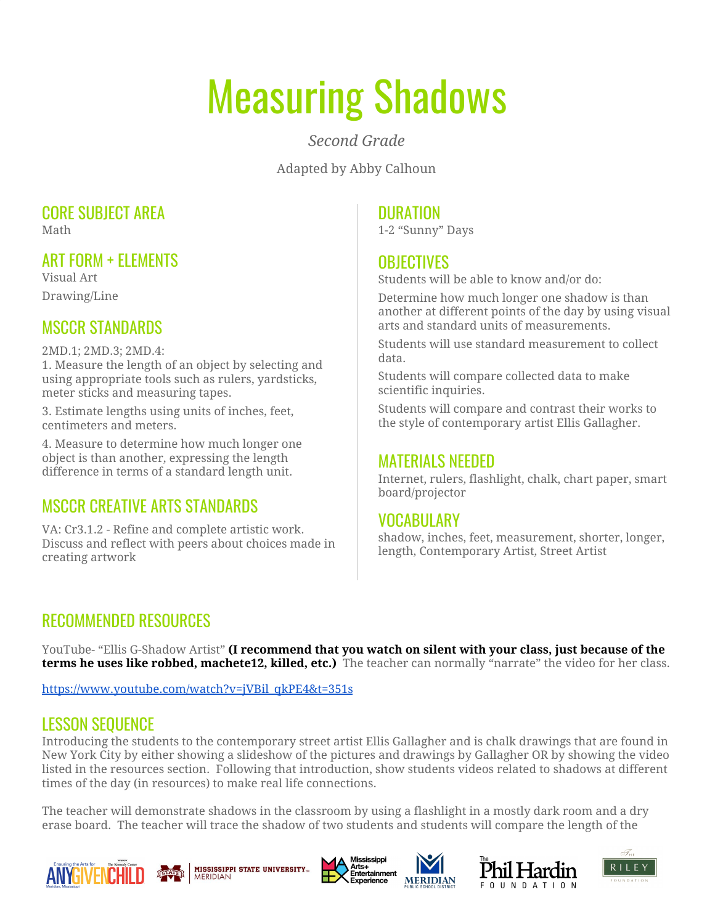# Measuring Shadows

*Second Grade*

Adapted by Abby Calhoun

#### CORE SUBJECT AREA Math

ART FORM + ELEMENTS

Visual Art Drawing/Line

## MSCCR STANDARDS

2MD.1; 2MD.3; 2MD.4:

1. Measure the length of an object by selecting and using appropriate tools such as rulers, yardsticks, meter sticks and measuring tapes.

3. Estimate lengths using units of inches, feet, centimeters and meters.

4. Measure to determine how much longer one object is than another, expressing the length difference in terms of a standard length unit.

## MSCCR CREATIVE ARTS STANDARDS

VA: Cr3.1.2 - Refine and complete artistic work. Discuss and reflect with peers about choices made in creating artwork

#### DURATION

1-2 "Sunny" Days

### **OBJECTIVES**

Students will be able to know and/or do:

Determine how much longer one shadow is than another at different points of the day by using visual arts and standard units of measurements.

Students will use standard measurement to collect data.

Students will compare collected data to make scientific inquiries.

Students will compare and contrast their works to the style of contemporary artist Ellis Gallagher.

#### MATERIALS NEEDED

Internet, rulers, flashlight, chalk, chart paper, smart board/projector

### VOCABULARY

shadow, inches, feet, measurement, shorter, longer, length, Contemporary Artist, Street Artist

## RECOMMENDED RESOURCES

YouTube- "Ellis G-Shadow Artist" **(I recommend that you watch on silent with your class, just because of the terms he uses like robbed, machete12, killed, etc.)** The teacher can normally "narrate" the video for her class.

[https://www.youtube.com/watch?v=jVBil\\_qkPE4&t=351s](https://www.youtube.com/watch?v=jVBil_qkPE4&t=351s)

## LESSON SEQUENCE

Introducing the students to the contemporary street artist Ellis Gallagher and is chalk drawings that are found in New York City by either showing a slideshow of the pictures and drawings by Gallagher OR by showing the video listed in the resources section. Following that introduction, show students videos related to shadows at different times of the day (in resources) to make real life connections.

The teacher will demonstrate shadows in the classroom by using a flashlight in a mostly dark room and a dry erase board. The teacher will trace the shadow of two students and students will compare the length of the